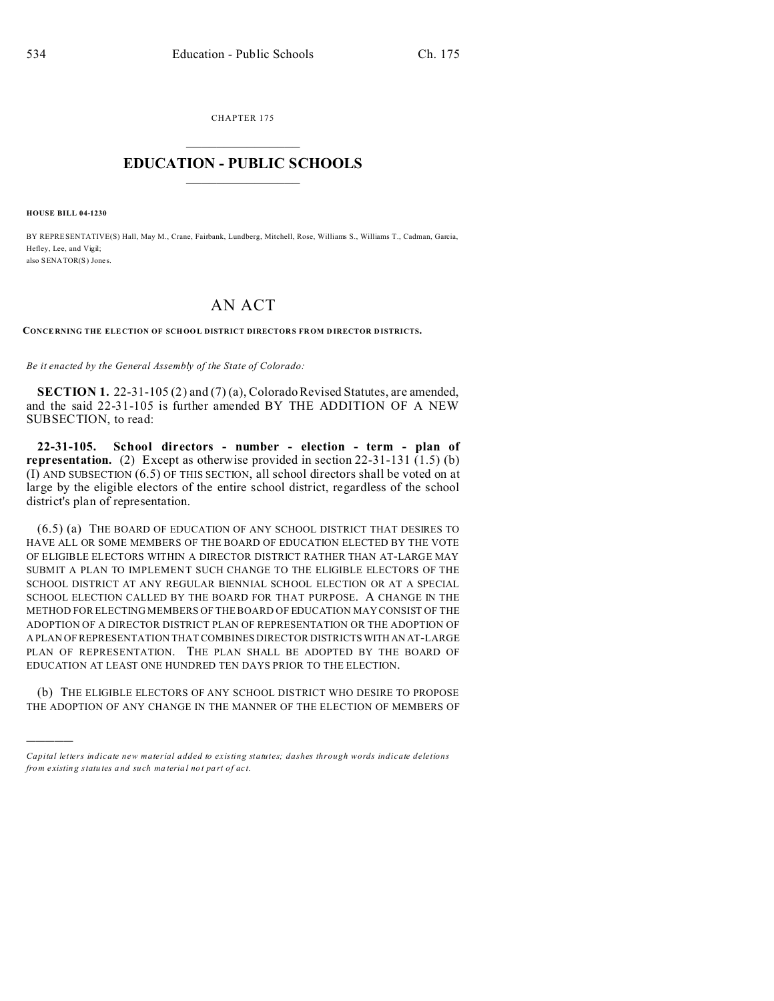CHAPTER 175  $\overline{\phantom{a}}$  , where  $\overline{\phantom{a}}$ 

## **EDUCATION - PUBLIC SCHOOLS**  $\_$   $\_$   $\_$   $\_$   $\_$   $\_$   $\_$   $\_$   $\_$

**HOUSE BILL 04-1230**

)))))

BY REPRESENTATIVE(S) Hall, May M., Crane, Fairbank, Lundberg, Mitchell, Rose, Williams S., Williams T., Cadman, Garcia, Hefley, Lee, and Vigil; also SENATOR(S) Jones

## AN ACT

**CONCE RNING THE ELE CTION OF SCHOOL DISTRICT DIRECTOR S FROM D IRECTOR D ISTRICTS.**

*Be it enacted by the General Assembly of the State of Colorado:*

**SECTION 1.** 22-31-105 (2) and (7) (a), Colorado Revised Statutes, are amended, and the said 22-31-105 is further amended BY THE ADDITION OF A NEW SUBSECTION, to read:

**22-31-105. School directors - number - election - term - plan of representation.** (2) Except as otherwise provided in section 22-31-131 (1.5) (b) (I) AND SUBSECTION (6.5) OF THIS SECTION, all school directors shall be voted on at large by the eligible electors of the entire school district, regardless of the school district's plan of representation.

(6.5) (a) THE BOARD OF EDUCATION OF ANY SCHOOL DISTRICT THAT DESIRES TO HAVE ALL OR SOME MEMBERS OF THE BOARD OF EDUCATION ELECTED BY THE VOTE OF ELIGIBLE ELECTORS WITHIN A DIRECTOR DISTRICT RATHER THAN AT-LARGE MAY SUBMIT A PLAN TO IMPLEMENT SUCH CHANGE TO THE ELIGIBLE ELECTORS OF THE SCHOOL DISTRICT AT ANY REGULAR BIENNIAL SCHOOL ELECTION OR AT A SPECIAL SCHOOL ELECTION CALLED BY THE BOARD FOR THAT PURPOSE. A CHANGE IN THE METHOD FOR ELECTING MEMBERS OF THE BOARD OF EDUCATION MAY CONSIST OF THE ADOPTION OF A DIRECTOR DISTRICT PLAN OF REPRESENTATION OR THE ADOPTION OF A PLAN OF REPRESENTATION THAT COMBINES DIRECTOR DISTRICTS WITH AN AT-LARGE PLAN OF REPRESENTATION. THE PLAN SHALL BE ADOPTED BY THE BOARD OF EDUCATION AT LEAST ONE HUNDRED TEN DAYS PRIOR TO THE ELECTION.

(b) THE ELIGIBLE ELECTORS OF ANY SCHOOL DISTRICT WHO DESIRE TO PROPOSE THE ADOPTION OF ANY CHANGE IN THE MANNER OF THE ELECTION OF MEMBERS OF

*Capital letters indicate new material added to existing statutes; dashes through words indicate deletions from e xistin g statu tes a nd such ma teria l no t pa rt of ac t.*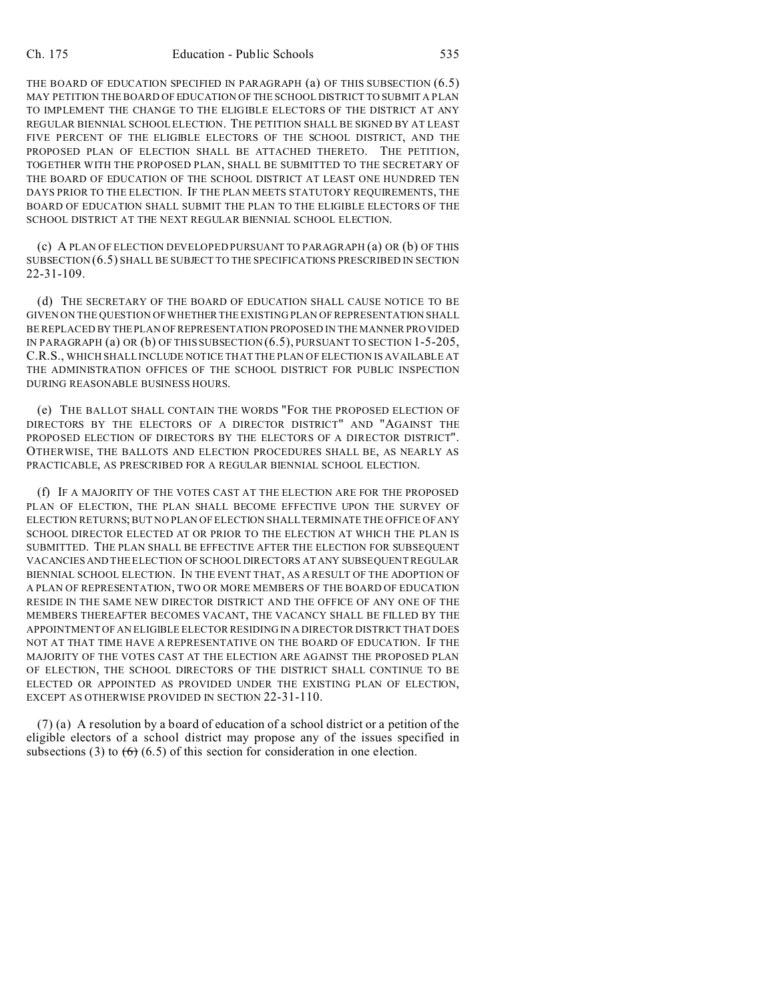THE BOARD OF EDUCATION SPECIFIED IN PARAGRAPH (a) OF THIS SUBSECTION (6.5) MAY PETITION THE BOARD OF EDUCATION OF THE SCHOOL DISTRICT TO SUBMIT A PLAN TO IMPLEMENT THE CHANGE TO THE ELIGIBLE ELECTORS OF THE DISTRICT AT ANY REGULAR BIENNIAL SCHOOL ELECTION. THE PETITION SHALL BE SIGNED BY AT LEAST FIVE PERCENT OF THE ELIGIBLE ELECTORS OF THE SCHOOL DISTRICT, AND THE PROPOSED PLAN OF ELECTION SHALL BE ATTACHED THERETO. THE PETITION, TOGETHER WITH THE PROPOSED PLAN, SHALL BE SUBMITTED TO THE SECRETARY OF THE BOARD OF EDUCATION OF THE SCHOOL DISTRICT AT LEAST ONE HUNDRED TEN DAYS PRIOR TO THE ELECTION. IF THE PLAN MEETS STATUTORY REQUIREMENTS, THE BOARD OF EDUCATION SHALL SUBMIT THE PLAN TO THE ELIGIBLE ELECTORS OF THE SCHOOL DISTRICT AT THE NEXT REGULAR BIENNIAL SCHOOL ELECTION.

(c) A PLAN OF ELECTION DEVELOPED PURSUANT TO PARAGRAPH (a) OR (b) OF THIS SUBSECTION (6.5) SHALL BE SUBJECT TO THE SPECIFICATIONS PRESCRIBED IN SECTION 22-31-109.

(d) THE SECRETARY OF THE BOARD OF EDUCATION SHALL CAUSE NOTICE TO BE GIVEN ON THE QUESTION OF WHETHER THE EXISTING PLAN OF REPRESENTATION SHALL BE REPLACED BY THE PLAN OF REPRESENTATION PROPOSED IN THE MANNER PROVIDED IN PARAGRAPH (a) OR (b) OF THIS SUBSECTION (6.5), PURSUANT TO SECTION 1-5-205, C.R.S., WHICH SHALL INCLUDE NOTICE THAT THE PLAN OF ELECTION IS AVAILABLE AT THE ADMINISTRATION OFFICES OF THE SCHOOL DISTRICT FOR PUBLIC INSPECTION DURING REASONABLE BUSINESS HOURS.

(e) THE BALLOT SHALL CONTAIN THE WORDS "FOR THE PROPOSED ELECTION OF DIRECTORS BY THE ELECTORS OF A DIRECTOR DISTRICT" AND "AGAINST THE PROPOSED ELECTION OF DIRECTORS BY THE ELECTORS OF A DIRECTOR DISTRICT". OTHERWISE, THE BALLOTS AND ELECTION PROCEDURES SHALL BE, AS NEARLY AS PRACTICABLE, AS PRESCRIBED FOR A REGULAR BIENNIAL SCHOOL ELECTION.

(f) IF A MAJORITY OF THE VOTES CAST AT THE ELECTION ARE FOR THE PROPOSED PLAN OF ELECTION, THE PLAN SHALL BECOME EFFECTIVE UPON THE SURVEY OF ELECTION RETURNS; BUT NO PLAN OF ELECTION SHALL TERMINATE THE OFFICE OF ANY SCHOOL DIRECTOR ELECTED AT OR PRIOR TO THE ELECTION AT WHICH THE PLAN IS SUBMITTED. THE PLAN SHALL BE EFFECTIVE AFTER THE ELECTION FOR SUBSEQUENT VACANCIES AND THE ELECTION OF SCHOOL DIRECTORS AT ANY SUBSEQUENT REGULAR BIENNIAL SCHOOL ELECTION. IN THE EVENT THAT, AS A RESULT OF THE ADOPTION OF A PLAN OF REPRESENTATION, TWO OR MORE MEMBERS OF THE BOARD OF EDUCATION RESIDE IN THE SAME NEW DIRECTOR DISTRICT AND THE OFFICE OF ANY ONE OF THE MEMBERS THEREAFTER BECOMES VACANT, THE VACANCY SHALL BE FILLED BY THE APPOINTMENT OF AN ELIGIBLE ELECTOR RESIDING IN A DIRECTOR DISTRICT THAT DOES NOT AT THAT TIME HAVE A REPRESENTATIVE ON THE BOARD OF EDUCATION. IF THE MAJORITY OF THE VOTES CAST AT THE ELECTION ARE AGAINST THE PROPOSED PLAN OF ELECTION, THE SCHOOL DIRECTORS OF THE DISTRICT SHALL CONTINUE TO BE ELECTED OR APPOINTED AS PROVIDED UNDER THE EXISTING PLAN OF ELECTION, EXCEPT AS OTHERWISE PROVIDED IN SECTION 22-31-110.

(7) (a) A resolution by a board of education of a school district or a petition of the eligible electors of a school district may propose any of the issues specified in subsections (3) to  $(6)$  (6.5) of this section for consideration in one election.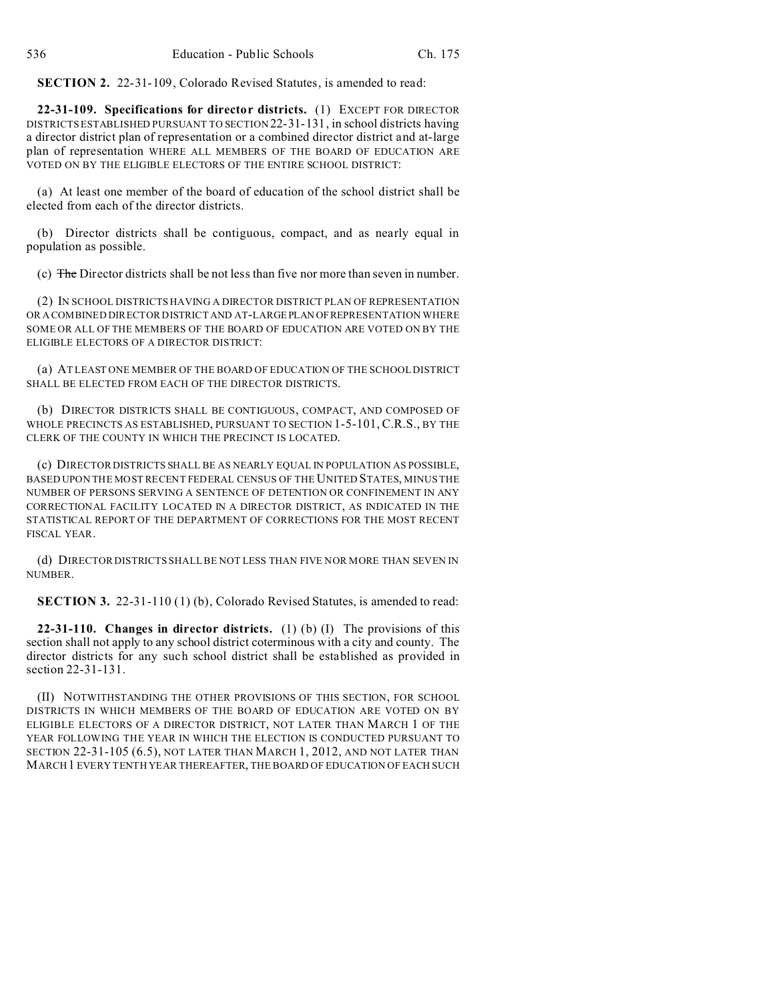**SECTION 2.** 22-31-109, Colorado Revised Statutes, is amended to read:

**22-31-109. Specifications for director districts.** (1) EXCEPT FOR DIRECTOR DISTRICTS ESTABLISHED PURSUANT TO SECTION 22-31-131, in school districts having a director district plan of representation or a combined director district and at-large plan of representation WHERE ALL MEMBERS OF THE BOARD OF EDUCATION ARE VOTED ON BY THE ELIGIBLE ELECTORS OF THE ENTIRE SCHOOL DISTRICT:

(a) At least one member of the board of education of the school district shall be elected from each of the director districts.

(b) Director districts shall be contiguous, compact, and as nearly equal in population as possible.

(c) The Director districts shall be not less than five nor more than seven in number.

(2) IN SCHOOL DISTRICTS HAVING A DIRECTOR DISTRICT PLAN OF REPRESENTATION OR A COMBINED DIRECTOR DISTRICT AND AT-LARGEPLAN OFREPRESENTATION WHERE SOME OR ALL OF THE MEMBERS OF THE BOARD OF EDUCATION ARE VOTED ON BY THE ELIGIBLE ELECTORS OF A DIRECTOR DISTRICT:

(a) AT LEAST ONE MEMBER OF THE BOARD OF EDUCATION OF THE SCHOOL DISTRICT SHALL BE ELECTED FROM EACH OF THE DIRECTOR DISTRICTS.

(b) DIRECTOR DISTRICTS SHALL BE CONTIGUOUS, COMPACT, AND COMPOSED OF WHOLE PRECINCTS AS ESTABLISHED, PURSUANT TO SECTION 1-5-101, C.R.S., BY THE CLERK OF THE COUNTY IN WHICH THE PRECINCT IS LOCATED.

(c) DIRECTOR DISTRICTS SHALL BE AS NEARLY EQUAL IN POPULATION AS POSSIBLE, BASED UPON THE MOST RECENT FEDERAL CENSUS OF THE UNITED STATES, MINUS THE NUMBER OF PERSONS SERVING A SENTENCE OF DETENTION OR CONFINEMENT IN ANY CORRECTIONAL FACILITY LOCATED IN A DIRECTOR DISTRICT, AS INDICATED IN THE STATISTICAL REPORT OF THE DEPARTMENT OF CORRECTIONS FOR THE MOST RECENT FISCAL YEAR.

(d) DIRECTOR DISTRICTS SHALL BE NOT LESS THAN FIVE NOR MORE THAN SEVEN IN NUMBER.

**SECTION 3.** 22-31-110 (1) (b), Colorado Revised Statutes, is amended to read:

**22-31-110. Changes in director districts.** (1) (b) (I) The provisions of this section shall not apply to any school district coterminous with a city and county. The director districts for any such school district shall be established as provided in section 22-31-131.

(II) NOTWITHSTANDING THE OTHER PROVISIONS OF THIS SECTION, FOR SCHOOL DISTRICTS IN WHICH MEMBERS OF THE BOARD OF EDUCATION ARE VOTED ON BY ELIGIBLE ELECTORS OF A DIRECTOR DISTRICT, NOT LATER THAN MARCH 1 OF THE YEAR FOLLOWING THE YEAR IN WHICH THE ELECTION IS CONDUCTED PURSUANT TO SECTION 22-31-105 (6.5), NOT LATER THAN MARCH 1, 2012, AND NOT LATER THAN MARCH1 EVERY TENTH YEAR THEREAFTER, THE BOARD OF EDUCATION OF EACH SUCH